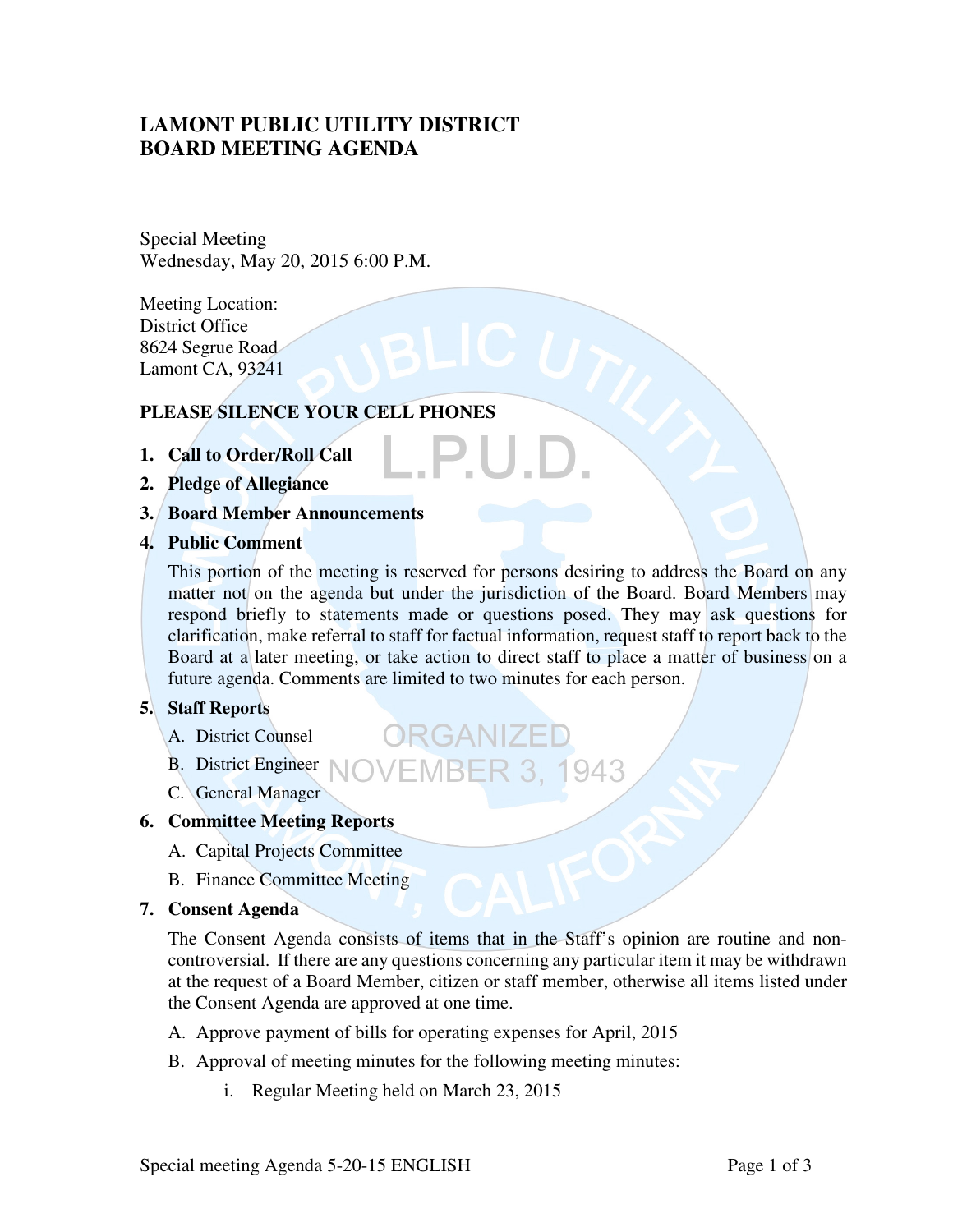# **LAMONT PUBLIC UTILITY DISTRICT BOARD MEETING AGENDA**

Special Meeting Wednesday, May 20, 2015 6:00 P.M.

Meeting Location: District Office 8624 Segrue Road Lamont CA, 93241

## **PLEASE SILENCE YOUR CELL PHONES**

- **1. Call to Order/Roll Call**
- **2. Pledge of Allegiance**
- **3. Board Member Announcements**
- **4. Public Comment**

This portion of the meeting is reserved for persons desiring to address the Board on any matter not on the agenda but under the jurisdiction of the Board. Board Members may respond briefly to statements made or questions posed. They may ask questions for clarification, make referral to staff for factual information, request staff to report back to the Board at a later meeting, or take action to direct staff to place a matter of business on a future agenda. Comments are limited to two minutes for each person.

### **5. Staff Reports**

- A. District Counsel
- B. District Engineer **NOVEMBER 3. 1943**

ORGANIZE

C. General Manager

### **6. Committee Meeting Reports**

- A. Capital Projects Committee
- B. Finance Committee Meeting

### **7. Consent Agenda**

The Consent Agenda consists of items that in the Staff's opinion are routine and noncontroversial. If there are any questions concerning any particular item it may be withdrawn at the request of a Board Member, citizen or staff member, otherwise all items listed under the Consent Agenda are approved at one time.

- A. Approve payment of bills for operating expenses for April, 2015
- B. Approval of meeting minutes for the following meeting minutes:
	- i. Regular Meeting held on March 23, 2015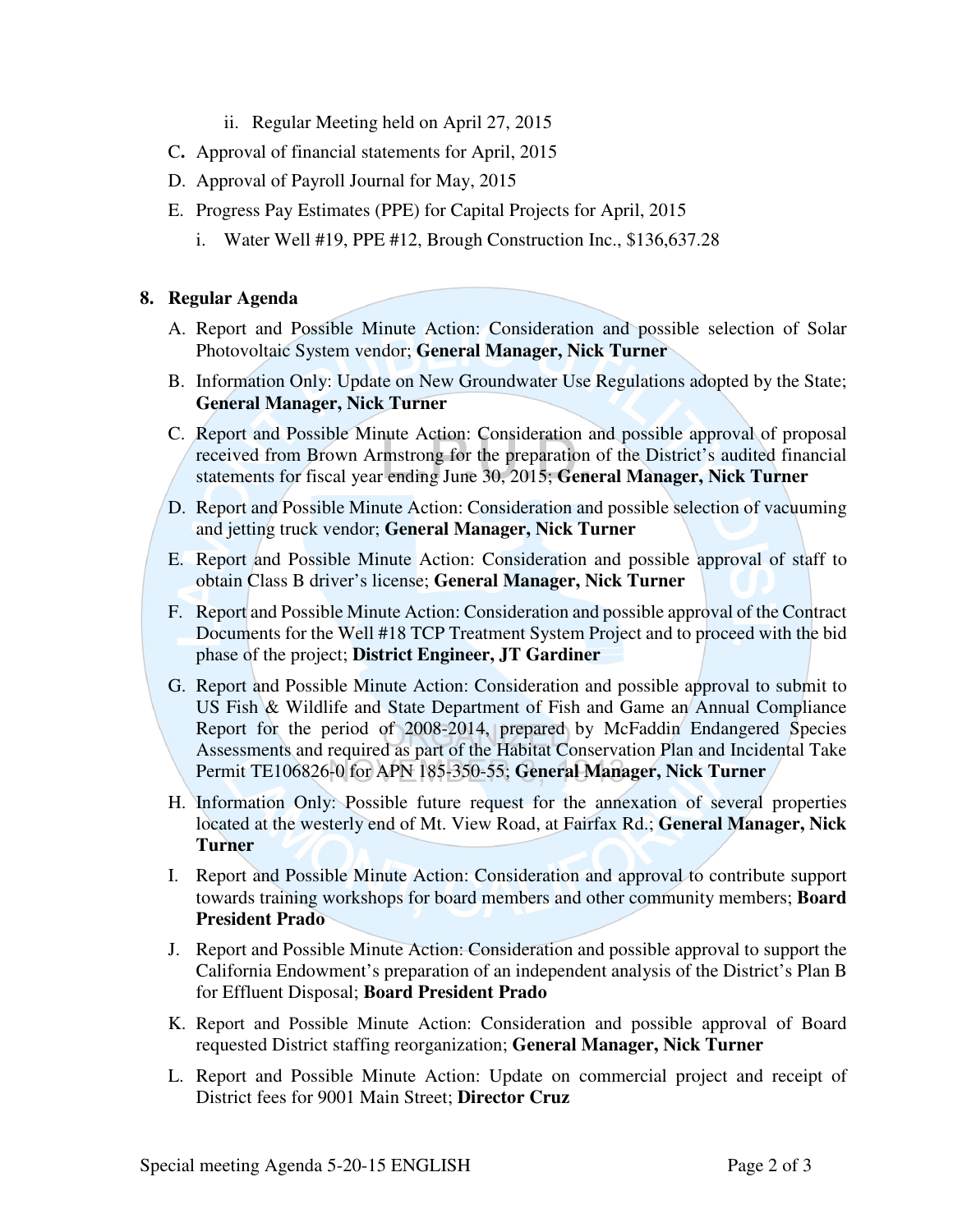- ii. Regular Meeting held on April 27, 2015
- C**.** Approval of financial statements for April, 2015
- D. Approval of Payroll Journal for May, 2015
- E. Progress Pay Estimates (PPE) for Capital Projects for April, 2015
	- i. Water Well #19, PPE #12, Brough Construction Inc., \$136,637.28

#### **8. Regular Agenda**

- A. Report and Possible Minute Action: Consideration and possible selection of Solar Photovoltaic System vendor; **General Manager, Nick Turner**
- B. Information Only: Update on New Groundwater Use Regulations adopted by the State; **General Manager, Nick Turner**
- C. Report and Possible Minute Action: Consideration and possible approval of proposal received from Brown Armstrong for the preparation of the District's audited financial statements for fiscal year ending June 30, 2015; **General Manager, Nick Turner**
- D. Report and Possible Minute Action: Consideration and possible selection of vacuuming and jetting truck vendor; **General Manager, Nick Turner**
- E. Report and Possible Minute Action: Consideration and possible approval of staff to obtain Class B driver's license; **General Manager, Nick Turner**
- F. Report and Possible Minute Action: Consideration and possible approval of the Contract Documents for the Well #18 TCP Treatment System Project and to proceed with the bid phase of the project; **District Engineer, JT Gardiner**
- G. Report and Possible Minute Action: Consideration and possible approval to submit to US Fish & Wildlife and State Department of Fish and Game an Annual Compliance Report for the period of 2008-2014, prepared by McFaddin Endangered Species Assessments and required as part of the Habitat Conservation Plan and Incidental Take Permit TE106826-0 for APN 185-350-55; **General Manager, Nick Turner**
- H. Information Only: Possible future request for the annexation of several properties located at the westerly end of Mt. View Road, at Fairfax Rd.; **General Manager, Nick Turner**
- I. Report and Possible Minute Action: Consideration and approval to contribute support towards training workshops for board members and other community members; **Board President Prado**
- J. Report and Possible Minute Action: Consideration and possible approval to support the California Endowment's preparation of an independent analysis of the District's Plan B for Effluent Disposal; **Board President Prado**
- K. Report and Possible Minute Action: Consideration and possible approval of Board requested District staffing reorganization; **General Manager, Nick Turner**
- L. Report and Possible Minute Action: Update on commercial project and receipt of District fees for 9001 Main Street; **Director Cruz**